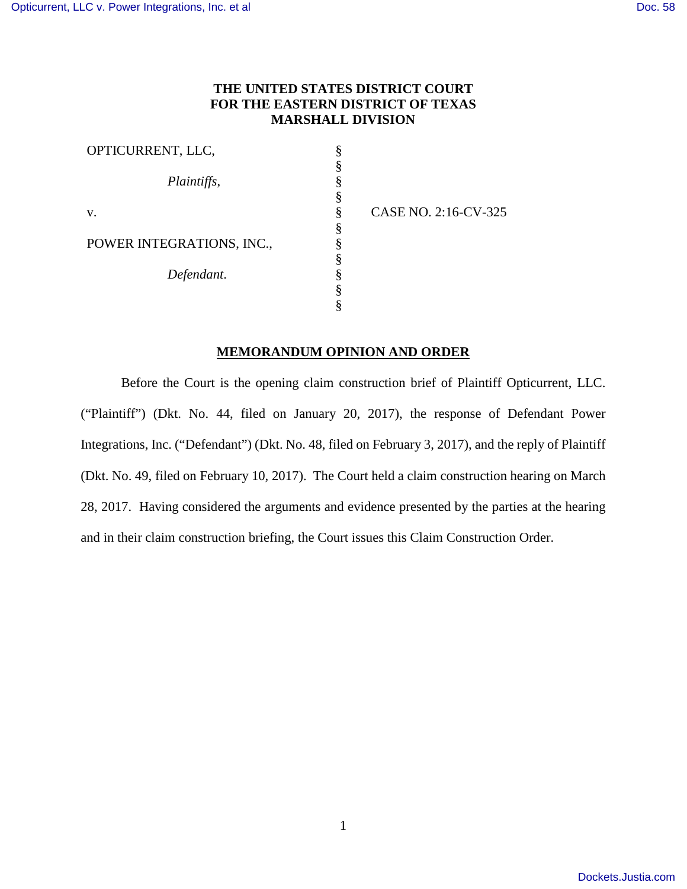# **THE UNITED STATES DISTRICT COURT FOR THE EASTERN DISTRICT OF TEXAS MARSHALL DIVISION**

§ § § § § § § §

| OPTICURRENT, LLC,         | ş |
|---------------------------|---|
|                           | § |
| Plaintiffs,               | § |
|                           | § |
| V.                        | § |
|                           | § |
| POWER INTEGRATIONS, INC., | § |
|                           | § |
| Defendant.                | § |
|                           | § |
|                           |   |

CASE NO. 2:16-CV-325

# **MEMORANDUM OPINION AND ORDER**

Before the Court is the opening claim construction brief of Plaintiff Opticurrent, LLC. ("Plaintiff") (Dkt. No. 44, filed on January 20, 2017), the response of Defendant Power Integrations, Inc. ("Defendant") (Dkt. No. 48, filed on February 3, 2017), and the reply of Plaintiff (Dkt. No. 49, filed on February 10, 2017). The Court held a claim construction hearing on March 28, 2017. Having considered the arguments and evidence presented by the parties at the hearing and in their claim construction briefing, the Court issues this Claim Construction Order.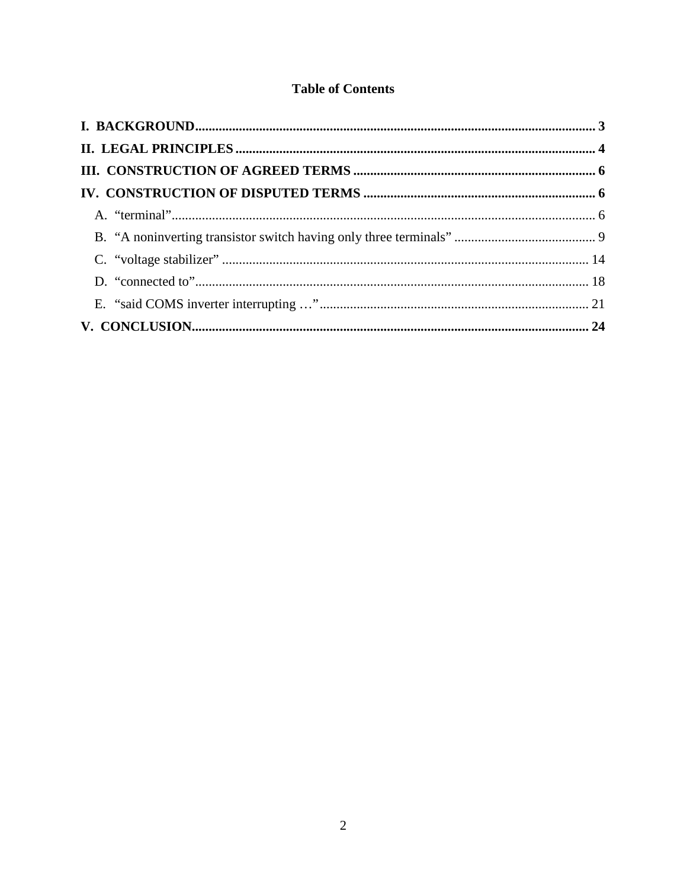# **Table of Contents**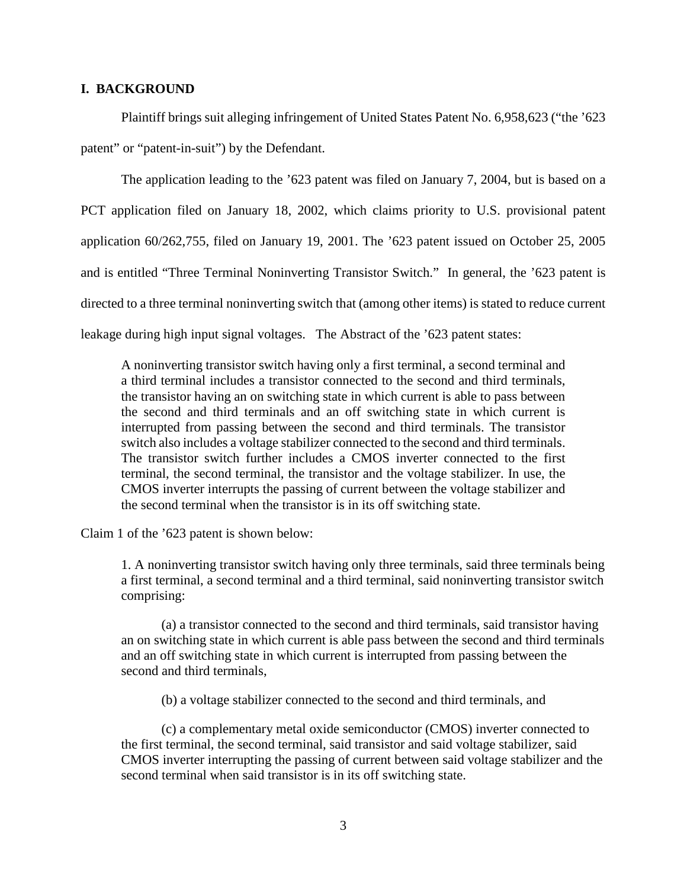## **I. BACKGROUND**

Plaintiff brings suit alleging infringement of United States Patent No. 6,958,623 ("the '623 patent" or "patent-in-suit") by the Defendant.

The application leading to the '623 patent was filed on January 7, 2004, but is based on a PCT application filed on January 18, 2002, which claims priority to U.S. provisional patent application 60/262,755, filed on January 19, 2001. The '623 patent issued on October 25, 2005 and is entitled "Three Terminal Noninverting Transistor Switch." In general, the '623 patent is directed to a three terminal noninverting switch that (among other items) is stated to reduce current leakage during high input signal voltages. The Abstract of the '623 patent states:

A noninverting transistor switch having only a first terminal, a second terminal and a third terminal includes a transistor connected to the second and third terminals, the transistor having an on switching state in which current is able to pass between the second and third terminals and an off switching state in which current is interrupted from passing between the second and third terminals. The transistor switch also includes a voltage stabilizer connected to the second and third terminals. The transistor switch further includes a CMOS inverter connected to the first terminal, the second terminal, the transistor and the voltage stabilizer. In use, the CMOS inverter interrupts the passing of current between the voltage stabilizer and the second terminal when the transistor is in its off switching state.

Claim 1 of the '623 patent is shown below:

1. A noninverting transistor switch having only three terminals, said three terminals being a first terminal, a second terminal and a third terminal, said noninverting transistor switch comprising:

(a) a transistor connected to the second and third terminals, said transistor having an on switching state in which current is able pass between the second and third terminals and an off switching state in which current is interrupted from passing between the second and third terminals,

(b) a voltage stabilizer connected to the second and third terminals, and

(c) a complementary metal oxide semiconductor (CMOS) inverter connected to the first terminal, the second terminal, said transistor and said voltage stabilizer, said CMOS inverter interrupting the passing of current between said voltage stabilizer and the second terminal when said transistor is in its off switching state.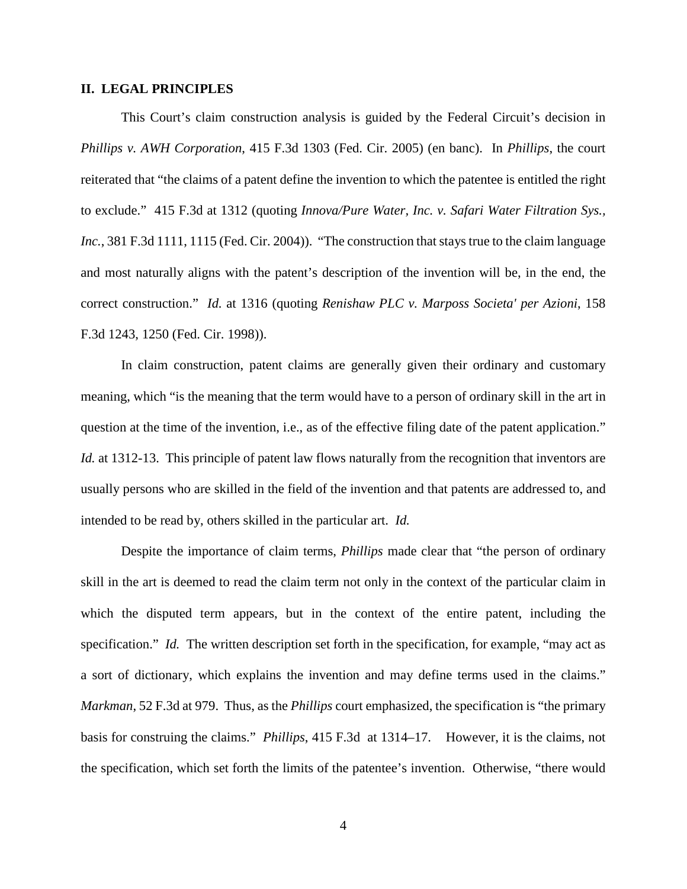#### **II. LEGAL PRINCIPLES**

This Court's claim construction analysis is guided by the Federal Circuit's decision in *Phillips v. AWH Corporation*, 415 F.3d 1303 (Fed. Cir. 2005) (en banc). In *Phillips*, the court reiterated that "the claims of a patent define the invention to which the patentee is entitled the right to exclude." 415 F.3d at 1312 (quoting *Innova/Pure Water, Inc. v. Safari Water Filtration Sys., Inc.*, 381 F.3d 1111, 1115 (Fed. Cir. 2004)). "The construction that stays true to the claim language and most naturally aligns with the patent's description of the invention will be, in the end, the correct construction." *Id.* at 1316 (quoting *Renishaw PLC v. Marposs Societa' per Azioni*, 158 F.3d 1243, 1250 (Fed. Cir. 1998)).

In claim construction, patent claims are generally given their ordinary and customary meaning, which "is the meaning that the term would have to a person of ordinary skill in the art in question at the time of the invention, i.e., as of the effective filing date of the patent application." *Id.* at 1312-13. This principle of patent law flows naturally from the recognition that inventors are usually persons who are skilled in the field of the invention and that patents are addressed to, and intended to be read by, others skilled in the particular art. *Id.*

Despite the importance of claim terms, *Phillips* made clear that "the person of ordinary skill in the art is deemed to read the claim term not only in the context of the particular claim in which the disputed term appears, but in the context of the entire patent, including the specification." *Id.* The written description set forth in the specification, for example, "may act as a sort of dictionary, which explains the invention and may define terms used in the claims." *Markman*, 52 F.3d at 979. Thus, as the *Phillips* court emphasized, the specification is "the primary basis for construing the claims." *Phillips*, 415 F.3d at 1314–17. However, it is the claims, not the specification, which set forth the limits of the patentee's invention. Otherwise, "there would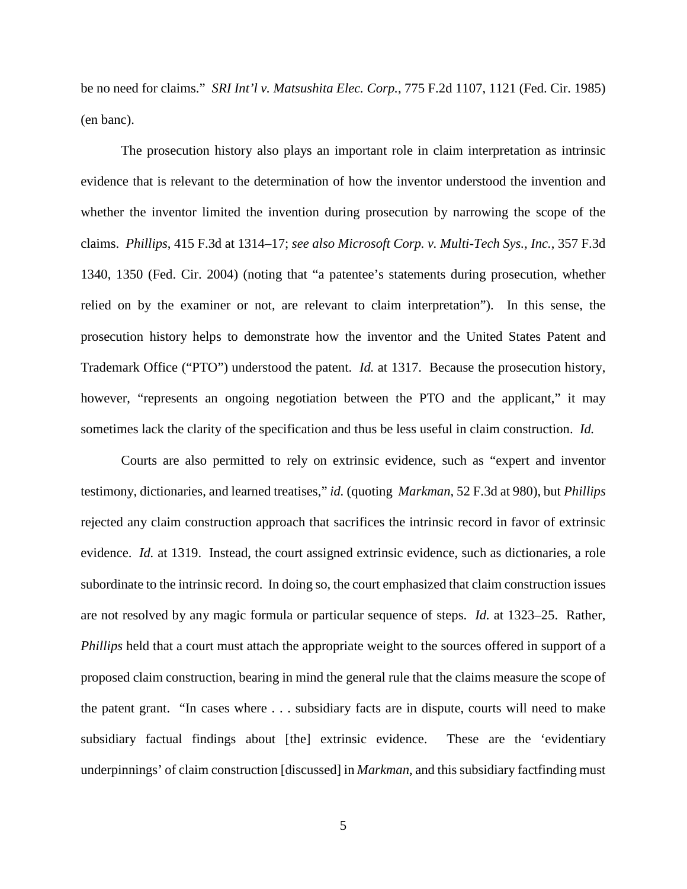be no need for claims." *SRI Int'l v. Matsushita Elec. Corp.*, 775 F.2d 1107, 1121 (Fed. Cir. 1985) (en banc).

The prosecution history also plays an important role in claim interpretation as intrinsic evidence that is relevant to the determination of how the inventor understood the invention and whether the inventor limited the invention during prosecution by narrowing the scope of the claims. *Phillips*, 415 F.3d at 1314–17; *see also Microsoft Corp. v. Multi-Tech Sys., Inc.*, 357 F.3d 1340, 1350 (Fed. Cir. 2004) (noting that "a patentee's statements during prosecution, whether relied on by the examiner or not, are relevant to claim interpretation"). In this sense, the prosecution history helps to demonstrate how the inventor and the United States Patent and Trademark Office ("PTO") understood the patent. *Id.* at 1317. Because the prosecution history, however, "represents an ongoing negotiation between the PTO and the applicant," it may sometimes lack the clarity of the specification and thus be less useful in claim construction. *Id.*

Courts are also permitted to rely on extrinsic evidence, such as "expert and inventor testimony, dictionaries, and learned treatises," *id.* (quoting *Markman*, 52 F.3d at 980), but *Phillips* rejected any claim construction approach that sacrifices the intrinsic record in favor of extrinsic evidence. *Id.* at 1319. Instead, the court assigned extrinsic evidence, such as dictionaries, a role subordinate to the intrinsic record. In doing so, the court emphasized that claim construction issues are not resolved by any magic formula or particular sequence of steps. *Id.* at 1323–25. Rather, *Phillips* held that a court must attach the appropriate weight to the sources offered in support of a proposed claim construction, bearing in mind the general rule that the claims measure the scope of the patent grant. "In cases where . . . subsidiary facts are in dispute, courts will need to make subsidiary factual findings about [the] extrinsic evidence. These are the 'evidentiary underpinnings' of claim construction [discussed] in *Markman*, and this subsidiary factfinding must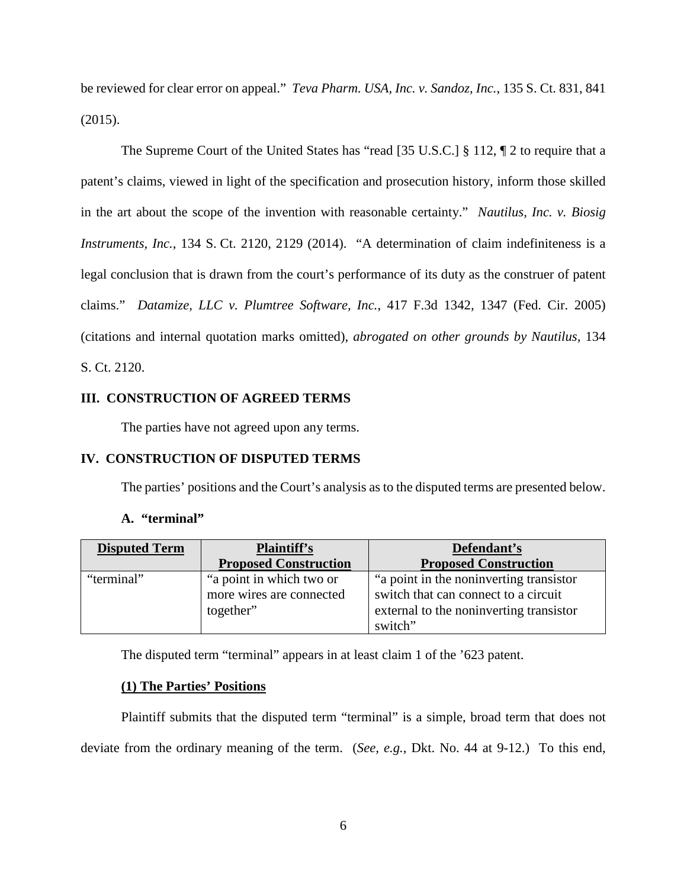be reviewed for clear error on appeal." *Teva Pharm. USA, Inc. v. Sandoz, Inc.*, 135 S. Ct. 831, 841 (2015).

The Supreme Court of the United States has "read [35 U.S.C.] § 112, ¶ 2 to require that a patent's claims, viewed in light of the specification and prosecution history, inform those skilled in the art about the scope of the invention with reasonable certainty." *Nautilus, Inc. v. Biosig Instruments, Inc.*, 134 S. Ct. 2120, 2129 (2014). "A determination of claim indefiniteness is a legal conclusion that is drawn from the court's performance of its duty as the construer of patent claims." *Datamize, LLC v. Plumtree Software, Inc.*, 417 F.3d 1342, 1347 (Fed. Cir. 2005) (citations and internal quotation marks omitted), *abrogated on other grounds by Nautilus,* 134 S. Ct. 2120.

# **III. CONSTRUCTION OF AGREED TERMS**

The parties have not agreed upon any terms.

## **IV. CONSTRUCTION OF DISPUTED TERMS**

The parties' positions and the Court's analysis as to the disputed terms are presented below.

| А. | "terminal" |  |
|----|------------|--|
|----|------------|--|

| <b>Disputed Term</b> | Plaintiff's                  | Defendant's                              |
|----------------------|------------------------------|------------------------------------------|
|                      | <b>Proposed Construction</b> | <b>Proposed Construction</b>             |
| "terminal"           | "a point in which two or     | "a point in the noninverting transistor" |
|                      | more wires are connected     | switch that can connect to a circuit     |
|                      | together"                    | external to the noninverting transistor  |
|                      |                              | switch"                                  |

The disputed term "terminal" appears in at least claim 1 of the '623 patent.

## **(1) The Parties' Positions**

Plaintiff submits that the disputed term "terminal" is a simple, broad term that does not deviate from the ordinary meaning of the term. (*See, e.g.*, Dkt. No. 44 at 9-12.) To this end,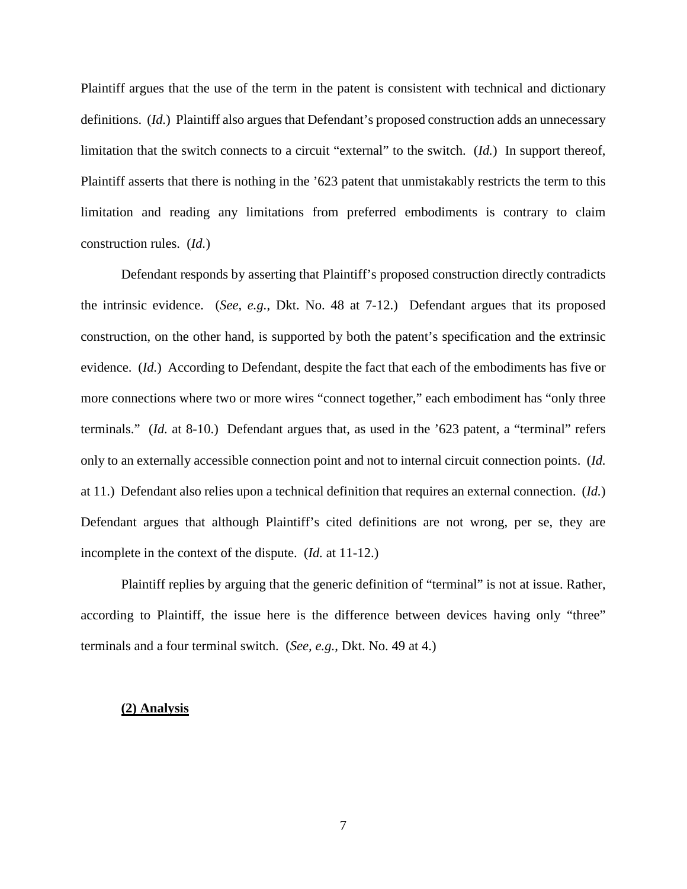Plaintiff argues that the use of the term in the patent is consistent with technical and dictionary definitions. (*Id.*) Plaintiff also argues that Defendant's proposed construction adds an unnecessary limitation that the switch connects to a circuit "external" to the switch. (*Id.*) In support thereof, Plaintiff asserts that there is nothing in the '623 patent that unmistakably restricts the term to this limitation and reading any limitations from preferred embodiments is contrary to claim construction rules. (*Id.*)

Defendant responds by asserting that Plaintiff's proposed construction directly contradicts the intrinsic evidence. (*See, e.g.*, Dkt. No. 48 at 7-12.) Defendant argues that its proposed construction, on the other hand, is supported by both the patent's specification and the extrinsic evidence. (*Id.*) According to Defendant, despite the fact that each of the embodiments has five or more connections where two or more wires "connect together," each embodiment has "only three terminals." (*Id.* at 8-10.) Defendant argues that, as used in the '623 patent, a "terminal" refers only to an externally accessible connection point and not to internal circuit connection points. (*Id.* at 11.) Defendant also relies upon a technical definition that requires an external connection. (*Id.*) Defendant argues that although Plaintiff's cited definitions are not wrong, per se, they are incomplete in the context of the dispute. (*Id.* at 11-12.)

Plaintiff replies by arguing that the generic definition of "terminal" is not at issue. Rather, according to Plaintiff, the issue here is the difference between devices having only "three" terminals and a four terminal switch. (*See, e.g.*, Dkt. No. 49 at 4.)

#### **(2) Analysis**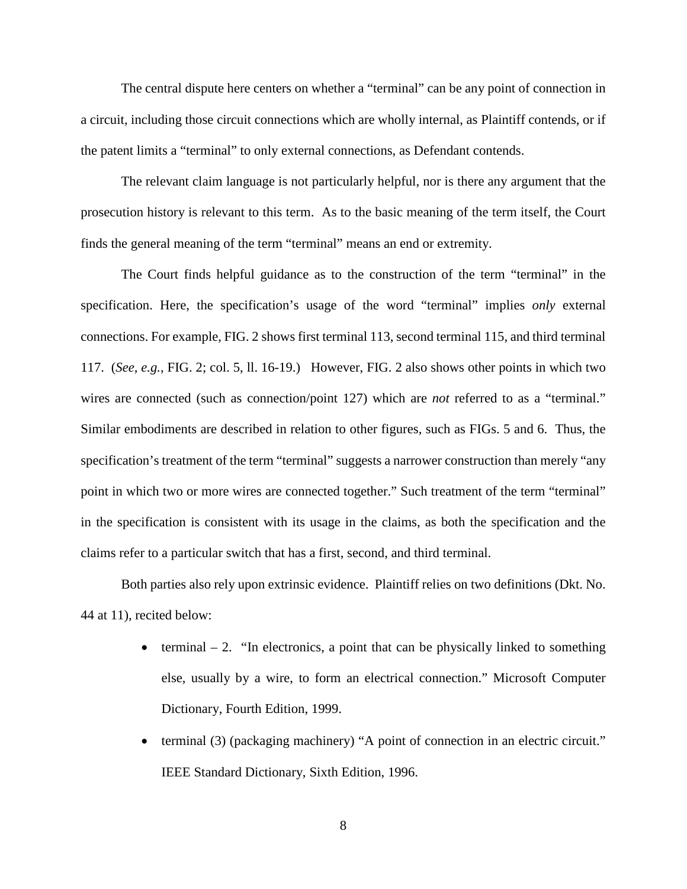The central dispute here centers on whether a "terminal" can be any point of connection in a circuit, including those circuit connections which are wholly internal, as Plaintiff contends, or if the patent limits a "terminal" to only external connections, as Defendant contends.

The relevant claim language is not particularly helpful, nor is there any argument that the prosecution history is relevant to this term. As to the basic meaning of the term itself, the Court finds the general meaning of the term "terminal" means an end or extremity.

The Court finds helpful guidance as to the construction of the term "terminal" in the specification. Here, the specification's usage of the word "terminal" implies *only* external connections. For example, FIG. 2 shows first terminal 113, second terminal 115, and third terminal 117. (*See, e.g.*, FIG. 2; col. 5, ll. 16-19.) However, FIG. 2 also shows other points in which two wires are connected (such as connection/point 127) which are *not* referred to as a "terminal." Similar embodiments are described in relation to other figures, such as FIGs. 5 and 6. Thus, the specification's treatment of the term "terminal" suggests a narrower construction than merely "any point in which two or more wires are connected together." Such treatment of the term "terminal" in the specification is consistent with its usage in the claims, as both the specification and the claims refer to a particular switch that has a first, second, and third terminal.

Both parties also rely upon extrinsic evidence. Plaintiff relies on two definitions (Dkt. No. 44 at 11), recited below:

- terminal  $-2$ . "In electronics, a point that can be physically linked to something else, usually by a wire, to form an electrical connection." Microsoft Computer Dictionary, Fourth Edition, 1999.
- terminal (3) (packaging machinery) "A point of connection in an electric circuit." IEEE Standard Dictionary, Sixth Edition, 1996.

8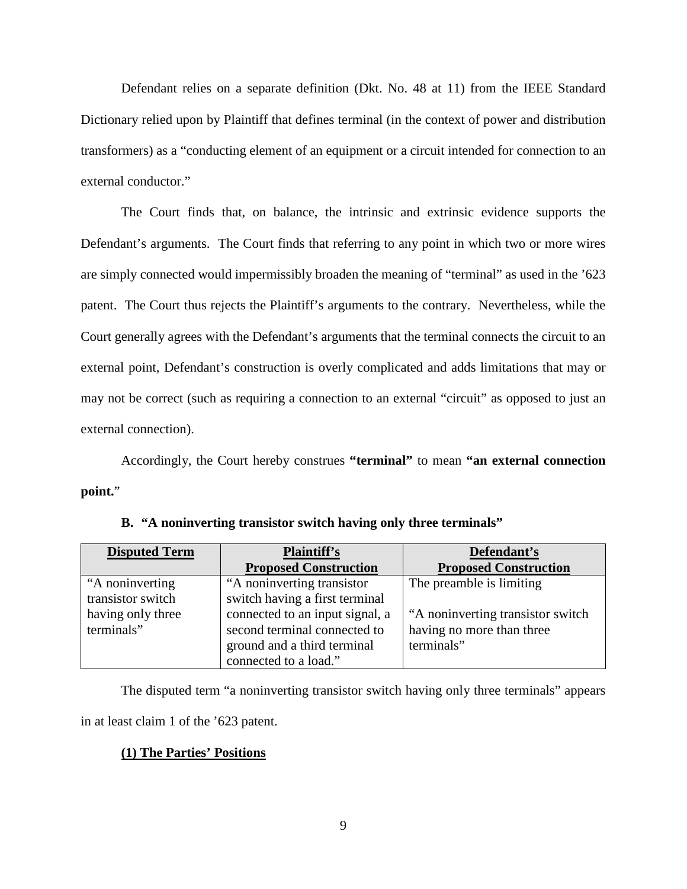Defendant relies on a separate definition (Dkt. No. 48 at 11) from the IEEE Standard Dictionary relied upon by Plaintiff that defines terminal (in the context of power and distribution transformers) as a "conducting element of an equipment or a circuit intended for connection to an external conductor."

The Court finds that, on balance, the intrinsic and extrinsic evidence supports the Defendant's arguments. The Court finds that referring to any point in which two or more wires are simply connected would impermissibly broaden the meaning of "terminal" as used in the '623 patent. The Court thus rejects the Plaintiff's arguments to the contrary. Nevertheless, while the Court generally agrees with the Defendant's arguments that the terminal connects the circuit to an external point, Defendant's construction is overly complicated and adds limitations that may or may not be correct (such as requiring a connection to an external "circuit" as opposed to just an external connection).

Accordingly, the Court hereby construes **"terminal"** to mean **"an external connection point.**"

| <b>Disputed Term</b> | <b>Plaintiff's</b>              | Defendant's                       |
|----------------------|---------------------------------|-----------------------------------|
|                      | <b>Proposed Construction</b>    | <b>Proposed Construction</b>      |
| "A noninverting      | "A noninverting transistor"     | The preamble is limiting          |
| transistor switch    | switch having a first terminal  |                                   |
| having only three    | connected to an input signal, a | "A noninverting transistor switch |
| terminals"           | second terminal connected to    | having no more than three         |
|                      | ground and a third terminal     | terminals"                        |
|                      | connected to a load."           |                                   |

**B. "A noninverting transistor switch having only three terminals"** 

The disputed term "a noninverting transistor switch having only three terminals" appears in at least claim 1 of the '623 patent.

# **(1) The Parties' Positions**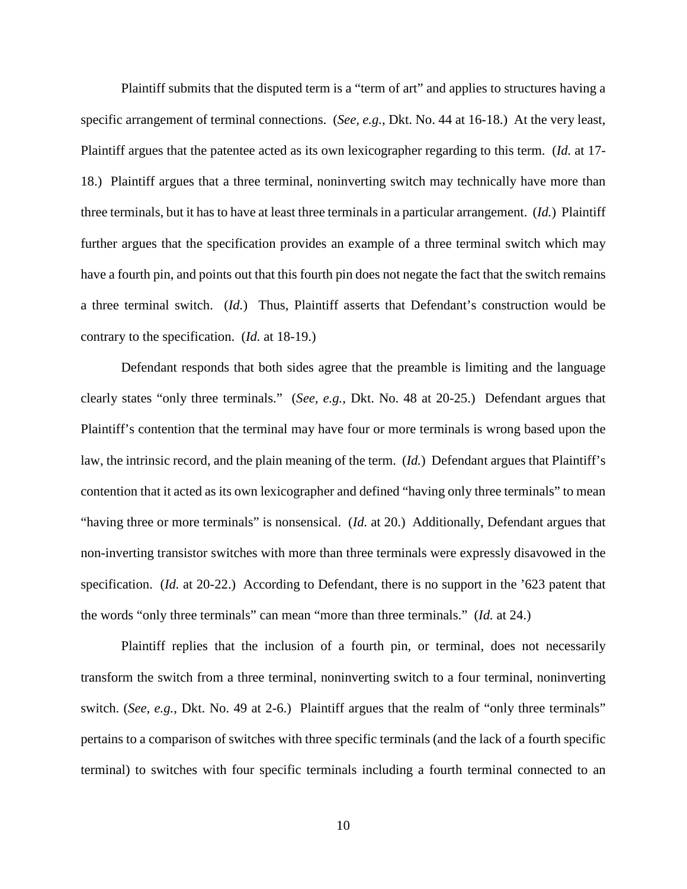Plaintiff submits that the disputed term is a "term of art" and applies to structures having a specific arrangement of terminal connections. (*See, e.g.*, Dkt. No. 44 at 16-18.) At the very least, Plaintiff argues that the patentee acted as its own lexicographer regarding to this term. (*Id.* at 17- 18.) Plaintiff argues that a three terminal, noninverting switch may technically have more than three terminals, but it has to have at least three terminals in a particular arrangement. (*Id.*) Plaintiff further argues that the specification provides an example of a three terminal switch which may have a fourth pin, and points out that this fourth pin does not negate the fact that the switch remains a three terminal switch. (*Id.*) Thus, Plaintiff asserts that Defendant's construction would be contrary to the specification. (*Id.* at 18-19.)

Defendant responds that both sides agree that the preamble is limiting and the language clearly states "only three terminals." (*See, e.g.*, Dkt. No. 48 at 20-25.) Defendant argues that Plaintiff's contention that the terminal may have four or more terminals is wrong based upon the law, the intrinsic record, and the plain meaning of the term. (*Id.*) Defendant argues that Plaintiff's contention that it acted as its own lexicographer and defined "having only three terminals" to mean "having three or more terminals" is nonsensical. (*Id.* at 20.) Additionally, Defendant argues that non-inverting transistor switches with more than three terminals were expressly disavowed in the specification. (*Id.* at 20-22.) According to Defendant, there is no support in the '623 patent that the words "only three terminals" can mean "more than three terminals." (*Id.* at 24.)

Plaintiff replies that the inclusion of a fourth pin, or terminal, does not necessarily transform the switch from a three terminal, noninverting switch to a four terminal, noninverting switch. (*See, e.g.*, Dkt. No. 49 at 2-6.) Plaintiff argues that the realm of "only three terminals" pertains to a comparison of switches with three specific terminals (and the lack of a fourth specific terminal) to switches with four specific terminals including a fourth terminal connected to an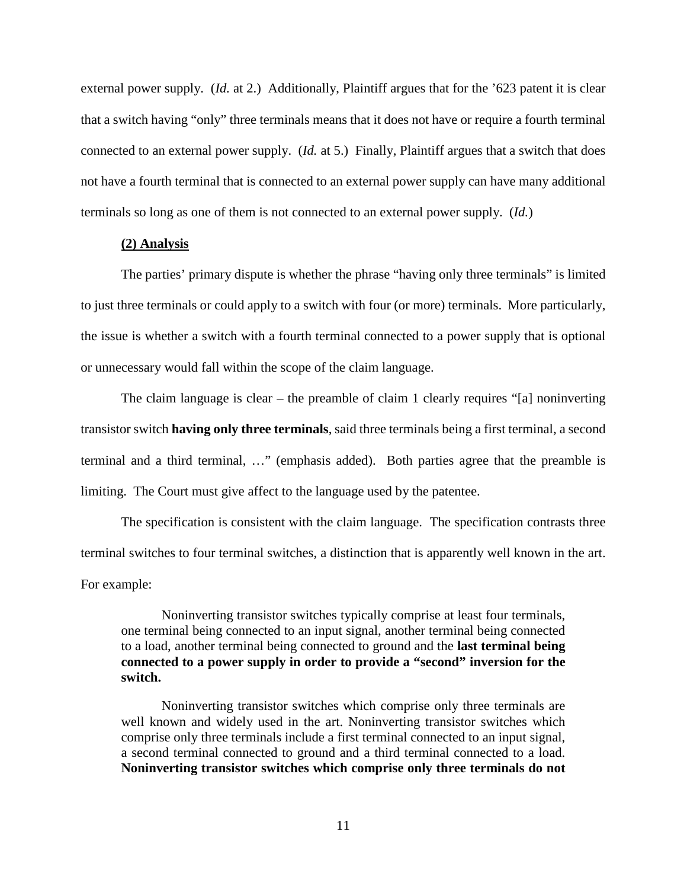external power supply. (*Id.* at 2.) Additionally, Plaintiff argues that for the '623 patent it is clear that a switch having "only" three terminals means that it does not have or require a fourth terminal connected to an external power supply. (*Id.* at 5.) Finally, Plaintiff argues that a switch that does not have a fourth terminal that is connected to an external power supply can have many additional terminals so long as one of them is not connected to an external power supply. (*Id.*)

#### **(2) Analysis**

The parties' primary dispute is whether the phrase "having only three terminals" is limited to just three terminals or could apply to a switch with four (or more) terminals. More particularly, the issue is whether a switch with a fourth terminal connected to a power supply that is optional or unnecessary would fall within the scope of the claim language.

The claim language is clear – the preamble of claim 1 clearly requires "[a] noninverting transistor switch **having only three terminals**, said three terminals being a first terminal, a second terminal and a third terminal, …" (emphasis added). Both parties agree that the preamble is limiting. The Court must give affect to the language used by the patentee.

The specification is consistent with the claim language. The specification contrasts three terminal switches to four terminal switches, a distinction that is apparently well known in the art. For example:

Noninverting transistor switches typically comprise at least four terminals, one terminal being connected to an input signal, another terminal being connected to a load, another terminal being connected to ground and the **last terminal being connected to a power supply in order to provide a "second" inversion for the switch.**

Noninverting transistor switches which comprise only three terminals are well known and widely used in the art. Noninverting transistor switches which comprise only three terminals include a first terminal connected to an input signal, a second terminal connected to ground and a third terminal connected to a load. **Noninverting transistor switches which comprise only three terminals do not**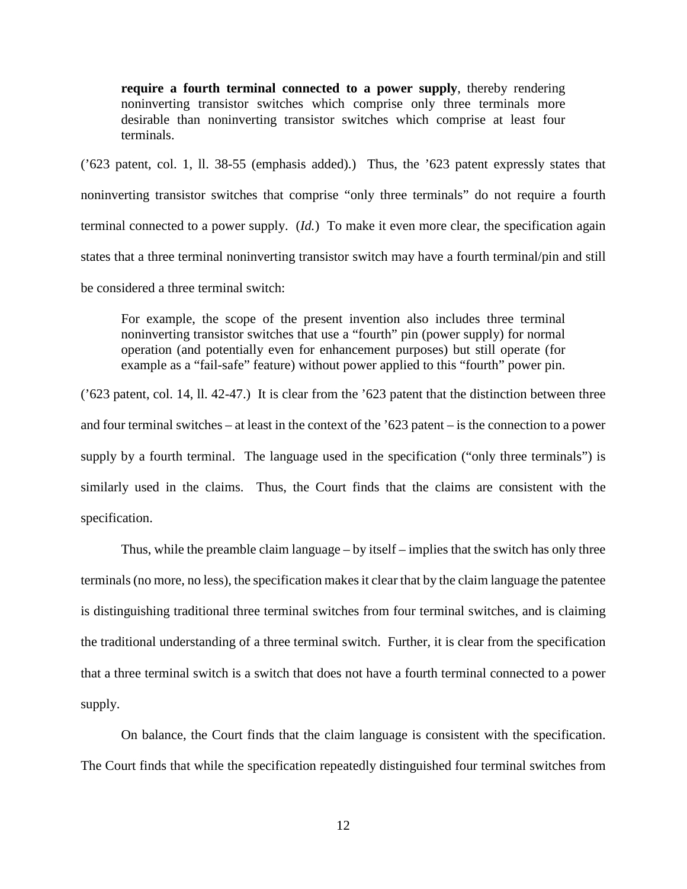**require a fourth terminal connected to a power supply**, thereby rendering noninverting transistor switches which comprise only three terminals more desirable than noninverting transistor switches which comprise at least four terminals.

('623 patent, col. 1, ll. 38-55 (emphasis added).) Thus, the '623 patent expressly states that noninverting transistor switches that comprise "only three terminals" do not require a fourth terminal connected to a power supply. (*Id.*) To make it even more clear, the specification again states that a three terminal noninverting transistor switch may have a fourth terminal/pin and still be considered a three terminal switch:

For example, the scope of the present invention also includes three terminal noninverting transistor switches that use a "fourth" pin (power supply) for normal operation (and potentially even for enhancement purposes) but still operate (for example as a "fail-safe" feature) without power applied to this "fourth" power pin.

('623 patent, col. 14, ll. 42-47.) It is clear from the '623 patent that the distinction between three and four terminal switches – at least in the context of the '623 patent – is the connection to a power supply by a fourth terminal. The language used in the specification ("only three terminals") is similarly used in the claims. Thus, the Court finds that the claims are consistent with the specification.

Thus, while the preamble claim language – by itself – implies that the switch has only three terminals (no more, no less), the specification makes it clear that by the claim language the patentee is distinguishing traditional three terminal switches from four terminal switches, and is claiming the traditional understanding of a three terminal switch. Further, it is clear from the specification that a three terminal switch is a switch that does not have a fourth terminal connected to a power supply.

On balance, the Court finds that the claim language is consistent with the specification. The Court finds that while the specification repeatedly distinguished four terminal switches from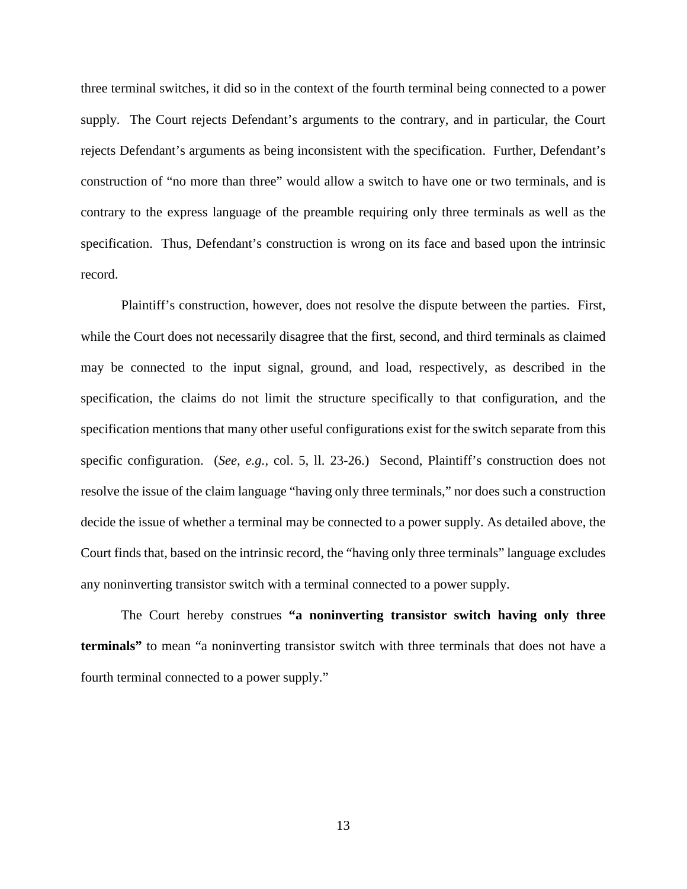three terminal switches, it did so in the context of the fourth terminal being connected to a power supply. The Court rejects Defendant's arguments to the contrary, and in particular, the Court rejects Defendant's arguments as being inconsistent with the specification. Further, Defendant's construction of "no more than three" would allow a switch to have one or two terminals, and is contrary to the express language of the preamble requiring only three terminals as well as the specification. Thus, Defendant's construction is wrong on its face and based upon the intrinsic record.

Plaintiff's construction, however, does not resolve the dispute between the parties. First, while the Court does not necessarily disagree that the first, second, and third terminals as claimed may be connected to the input signal, ground, and load, respectively, as described in the specification, the claims do not limit the structure specifically to that configuration, and the specification mentions that many other useful configurations exist for the switch separate from this specific configuration. (*See, e.g.,* col. 5, ll. 23-26.) Second, Plaintiff's construction does not resolve the issue of the claim language "having only three terminals," nor does such a construction decide the issue of whether a terminal may be connected to a power supply. As detailed above, the Court finds that, based on the intrinsic record, the "having only three terminals" language excludes any noninverting transistor switch with a terminal connected to a power supply.

The Court hereby construes **"a noninverting transistor switch having only three terminals"** to mean "a noninverting transistor switch with three terminals that does not have a fourth terminal connected to a power supply."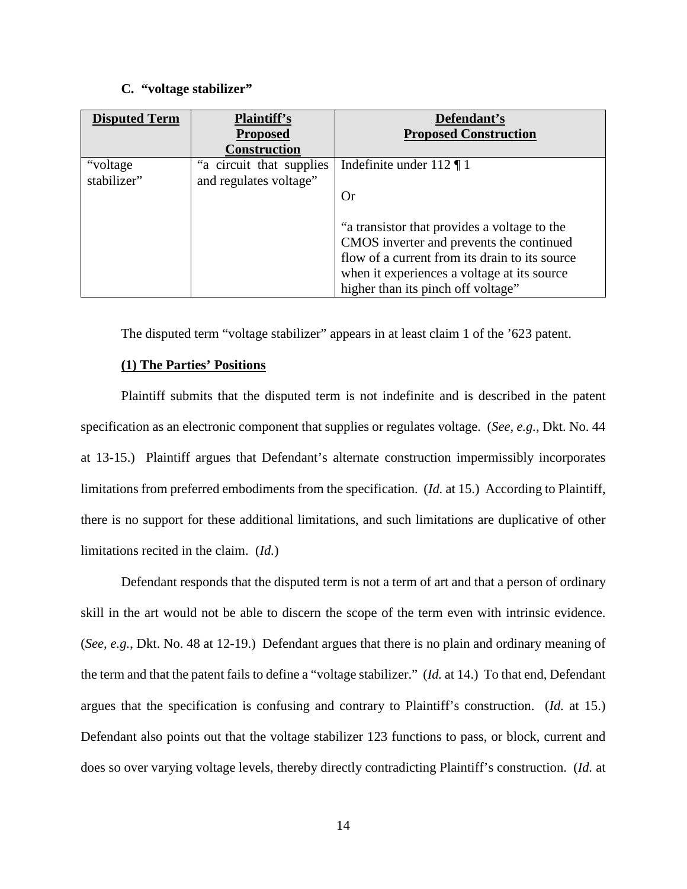#### **C. "voltage stabilizer"**

| <b>Disputed Term</b> | <b>Plaintiff's</b><br><b>Proposed</b> | Defendant's<br><b>Proposed Construction</b>    |
|----------------------|---------------------------------------|------------------------------------------------|
|                      | <b>Construction</b>                   |                                                |
| "voltage"            | "a circuit that supplies              | Indefinite under $112 \text{ T}$               |
| stabilizer"          | and regulates voltage"                |                                                |
|                      |                                       | <b>Or</b>                                      |
|                      |                                       |                                                |
|                      |                                       | "a transistor that provides a voltage to the   |
|                      |                                       | CMOS inverter and prevents the continued       |
|                      |                                       | flow of a current from its drain to its source |
|                      |                                       | when it experiences a voltage at its source    |
|                      |                                       | higher than its pinch off voltage"             |

The disputed term "voltage stabilizer" appears in at least claim 1 of the '623 patent.

## **(1) The Parties' Positions**

Plaintiff submits that the disputed term is not indefinite and is described in the patent specification as an electronic component that supplies or regulates voltage. (*See, e.g.*, Dkt. No. 44 at 13-15.) Plaintiff argues that Defendant's alternate construction impermissibly incorporates limitations from preferred embodiments from the specification. (*Id.* at 15.) According to Plaintiff, there is no support for these additional limitations, and such limitations are duplicative of other limitations recited in the claim. (*Id.*)

Defendant responds that the disputed term is not a term of art and that a person of ordinary skill in the art would not be able to discern the scope of the term even with intrinsic evidence. (*See, e.g.*, Dkt. No. 48 at 12-19.) Defendant argues that there is no plain and ordinary meaning of the term and that the patent fails to define a "voltage stabilizer." (*Id.* at 14.) To that end, Defendant argues that the specification is confusing and contrary to Plaintiff's construction. (*Id.* at 15.) Defendant also points out that the voltage stabilizer 123 functions to pass, or block, current and does so over varying voltage levels, thereby directly contradicting Plaintiff's construction. (*Id.* at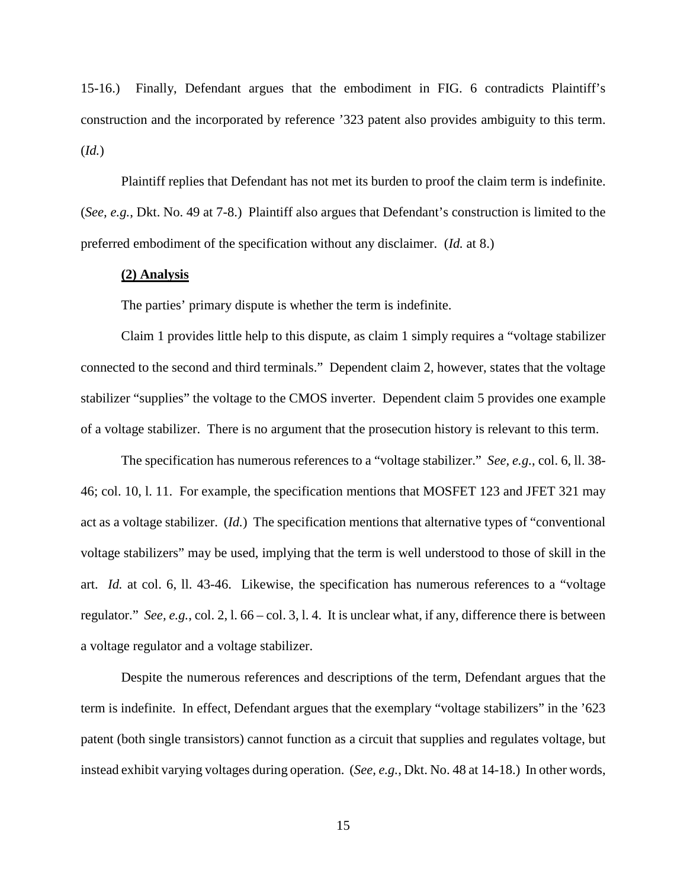15-16.) Finally, Defendant argues that the embodiment in FIG. 6 contradicts Plaintiff's construction and the incorporated by reference '323 patent also provides ambiguity to this term. (*Id.*)

Plaintiff replies that Defendant has not met its burden to proof the claim term is indefinite. (*See, e.g.*, Dkt. No. 49 at 7-8.) Plaintiff also argues that Defendant's construction is limited to the preferred embodiment of the specification without any disclaimer. (*Id.* at 8.)

## **(2) Analysis**

The parties' primary dispute is whether the term is indefinite.

Claim 1 provides little help to this dispute, as claim 1 simply requires a "voltage stabilizer connected to the second and third terminals." Dependent claim 2, however, states that the voltage stabilizer "supplies" the voltage to the CMOS inverter. Dependent claim 5 provides one example of a voltage stabilizer. There is no argument that the prosecution history is relevant to this term.

The specification has numerous references to a "voltage stabilizer." *See, e.g.*, col. 6, ll. 38- 46; col. 10, l. 11. For example, the specification mentions that MOSFET 123 and JFET 321 may act as a voltage stabilizer. (*Id.*) The specification mentions that alternative types of "conventional voltage stabilizers" may be used, implying that the term is well understood to those of skill in the art. *Id.* at col. 6, ll. 43-46. Likewise, the specification has numerous references to a "voltage regulator." *See, e.g.*, col. 2, l. 66 – col. 3, l. 4. It is unclear what, if any, difference there is between a voltage regulator and a voltage stabilizer.

Despite the numerous references and descriptions of the term, Defendant argues that the term is indefinite. In effect, Defendant argues that the exemplary "voltage stabilizers" in the '623 patent (both single transistors) cannot function as a circuit that supplies and regulates voltage, but instead exhibit varying voltages during operation. (*See, e.g.*, Dkt. No. 48 at 14-18.) In other words,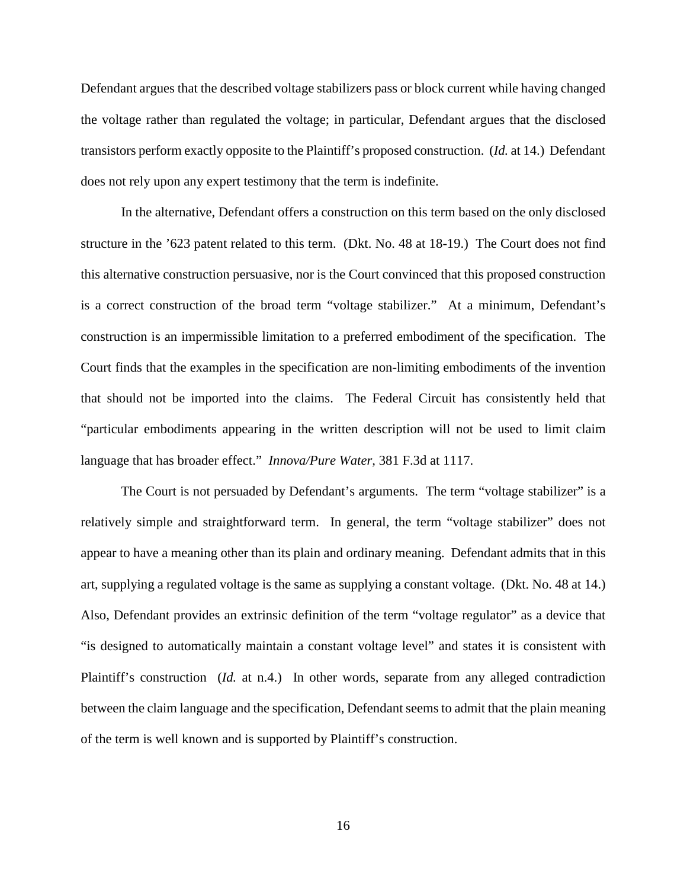Defendant argues that the described voltage stabilizers pass or block current while having changed the voltage rather than regulated the voltage; in particular, Defendant argues that the disclosed transistors perform exactly opposite to the Plaintiff's proposed construction. (*Id.* at 14.) Defendant does not rely upon any expert testimony that the term is indefinite.

In the alternative, Defendant offers a construction on this term based on the only disclosed structure in the '623 patent related to this term. (Dkt. No. 48 at 18-19.) The Court does not find this alternative construction persuasive, nor is the Court convinced that this proposed construction is a correct construction of the broad term "voltage stabilizer." At a minimum, Defendant's construction is an impermissible limitation to a preferred embodiment of the specification. The Court finds that the examples in the specification are non-limiting embodiments of the invention that should not be imported into the claims. The Federal Circuit has consistently held that "particular embodiments appearing in the written description will not be used to limit claim language that has broader effect." *Innova/Pure Water,* 381 F.3d at 1117.

The Court is not persuaded by Defendant's arguments. The term "voltage stabilizer" is a relatively simple and straightforward term. In general, the term "voltage stabilizer" does not appear to have a meaning other than its plain and ordinary meaning. Defendant admits that in this art, supplying a regulated voltage is the same as supplying a constant voltage. (Dkt. No. 48 at 14.) Also, Defendant provides an extrinsic definition of the term "voltage regulator" as a device that "is designed to automatically maintain a constant voltage level" and states it is consistent with Plaintiff's construction (*Id.* at n.4.) In other words, separate from any alleged contradiction between the claim language and the specification, Defendant seems to admit that the plain meaning of the term is well known and is supported by Plaintiff's construction.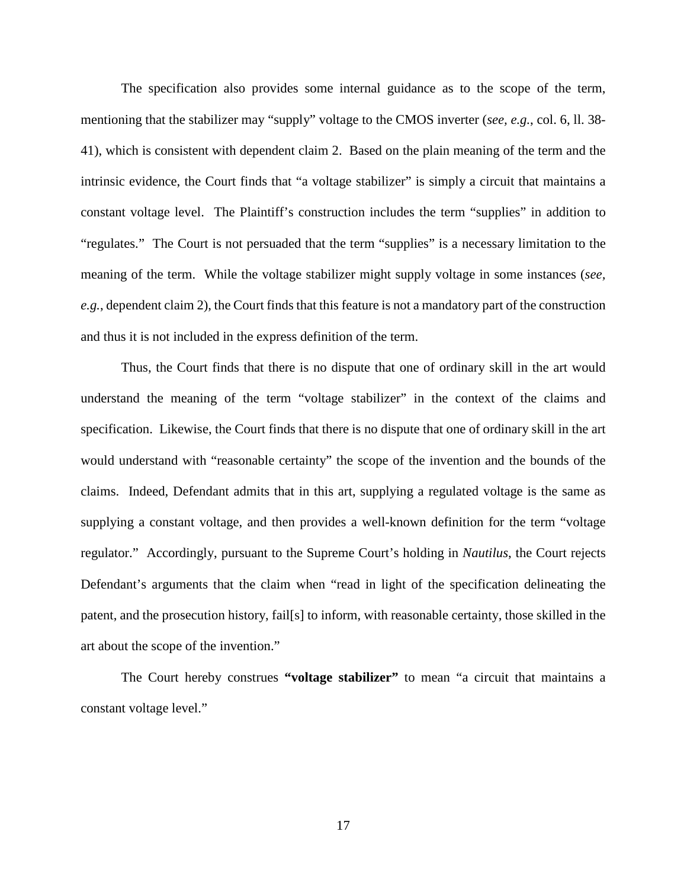The specification also provides some internal guidance as to the scope of the term, mentioning that the stabilizer may "supply" voltage to the CMOS inverter (*see, e.g.*, col. 6, ll. 38- 41), which is consistent with dependent claim 2. Based on the plain meaning of the term and the intrinsic evidence, the Court finds that "a voltage stabilizer" is simply a circuit that maintains a constant voltage level. The Plaintiff's construction includes the term "supplies" in addition to "regulates." The Court is not persuaded that the term "supplies" is a necessary limitation to the meaning of the term. While the voltage stabilizer might supply voltage in some instances (*see, e.g.*, dependent claim 2), the Court finds that this feature is not a mandatory part of the construction and thus it is not included in the express definition of the term.

Thus, the Court finds that there is no dispute that one of ordinary skill in the art would understand the meaning of the term "voltage stabilizer" in the context of the claims and specification. Likewise, the Court finds that there is no dispute that one of ordinary skill in the art would understand with "reasonable certainty" the scope of the invention and the bounds of the claims. Indeed, Defendant admits that in this art, supplying a regulated voltage is the same as supplying a constant voltage, and then provides a well-known definition for the term "voltage regulator." Accordingly, pursuant to the Supreme Court's holding in *Nautilus*, the Court rejects Defendant's arguments that the claim when "read in light of the specification delineating the patent, and the prosecution history, fail[s] to inform, with reasonable certainty, those skilled in the art about the scope of the invention."

The Court hereby construes **"voltage stabilizer"** to mean "a circuit that maintains a constant voltage level."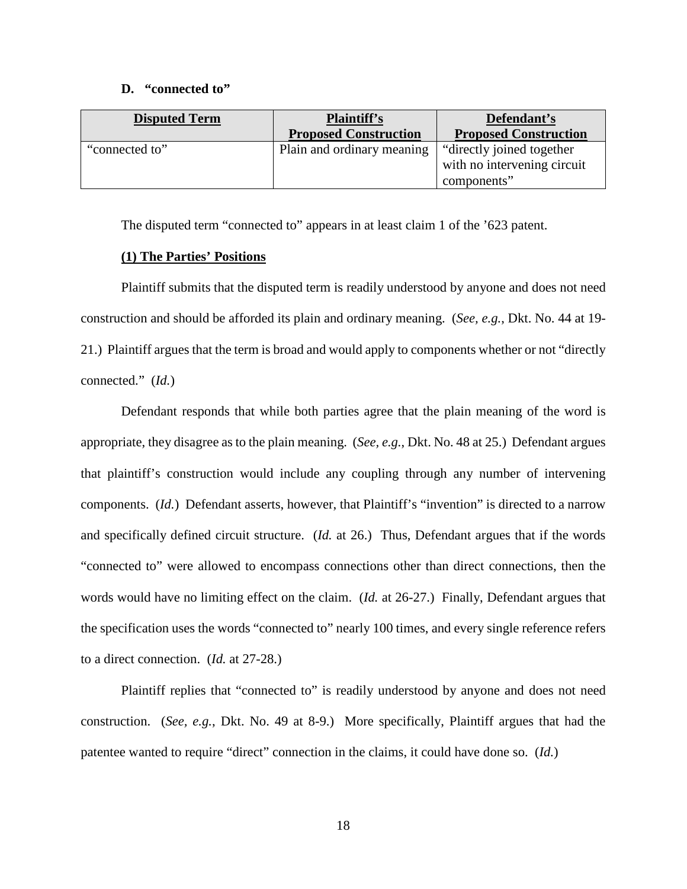#### **D. "connected to"**

| <b>Disputed Term</b> | <b>Plaintiff's</b><br><b>Proposed Construction</b> | Defendant's<br><b>Proposed Construction</b>                              |
|----------------------|----------------------------------------------------|--------------------------------------------------------------------------|
| "connected to"       | Plain and ordinary meaning                         | "directly joined together"<br>with no intervening circuit<br>components" |

The disputed term "connected to" appears in at least claim 1 of the '623 patent.

## **(1) The Parties' Positions**

Plaintiff submits that the disputed term is readily understood by anyone and does not need construction and should be afforded its plain and ordinary meaning. (*See, e.g.*, Dkt. No. 44 at 19- 21.) Plaintiff argues that the term is broad and would apply to components whether or not "directly connected." (*Id.*)

Defendant responds that while both parties agree that the plain meaning of the word is appropriate, they disagree as to the plain meaning. (*See, e.g.*, Dkt. No. 48 at 25.) Defendant argues that plaintiff's construction would include any coupling through any number of intervening components. (*Id.*) Defendant asserts, however, that Plaintiff's "invention" is directed to a narrow and specifically defined circuit structure. (*Id.* at 26.) Thus, Defendant argues that if the words "connected to" were allowed to encompass connections other than direct connections, then the words would have no limiting effect on the claim. (*Id.* at 26-27.) Finally, Defendant argues that the specification uses the words "connected to" nearly 100 times, and every single reference refers to a direct connection. (*Id.* at 27-28.)

Plaintiff replies that "connected to" is readily understood by anyone and does not need construction. (*See, e.g.*, Dkt. No. 49 at 8-9.) More specifically, Plaintiff argues that had the patentee wanted to require "direct" connection in the claims, it could have done so. (*Id.*)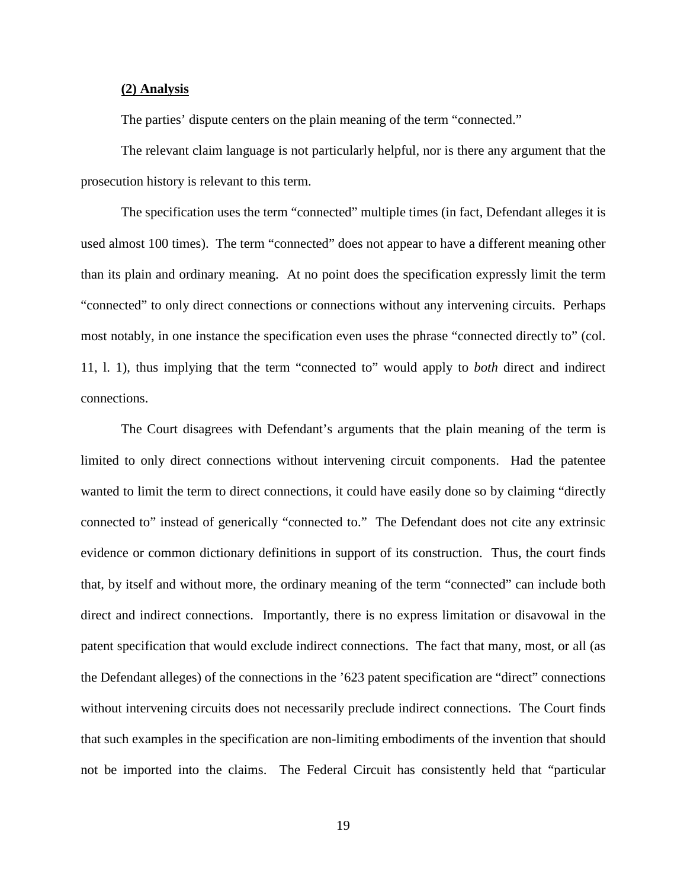#### **(2) Analysis**

The parties' dispute centers on the plain meaning of the term "connected."

The relevant claim language is not particularly helpful, nor is there any argument that the prosecution history is relevant to this term.

The specification uses the term "connected" multiple times (in fact, Defendant alleges it is used almost 100 times). The term "connected" does not appear to have a different meaning other than its plain and ordinary meaning. At no point does the specification expressly limit the term "connected" to only direct connections or connections without any intervening circuits. Perhaps most notably, in one instance the specification even uses the phrase "connected directly to" (col. 11, l. 1), thus implying that the term "connected to" would apply to *both* direct and indirect connections.

The Court disagrees with Defendant's arguments that the plain meaning of the term is limited to only direct connections without intervening circuit components. Had the patentee wanted to limit the term to direct connections, it could have easily done so by claiming "directly connected to" instead of generically "connected to." The Defendant does not cite any extrinsic evidence or common dictionary definitions in support of its construction. Thus, the court finds that, by itself and without more, the ordinary meaning of the term "connected" can include both direct and indirect connections. Importantly, there is no express limitation or disavowal in the patent specification that would exclude indirect connections. The fact that many, most, or all (as the Defendant alleges) of the connections in the '623 patent specification are "direct" connections without intervening circuits does not necessarily preclude indirect connections. The Court finds that such examples in the specification are non-limiting embodiments of the invention that should not be imported into the claims. The Federal Circuit has consistently held that "particular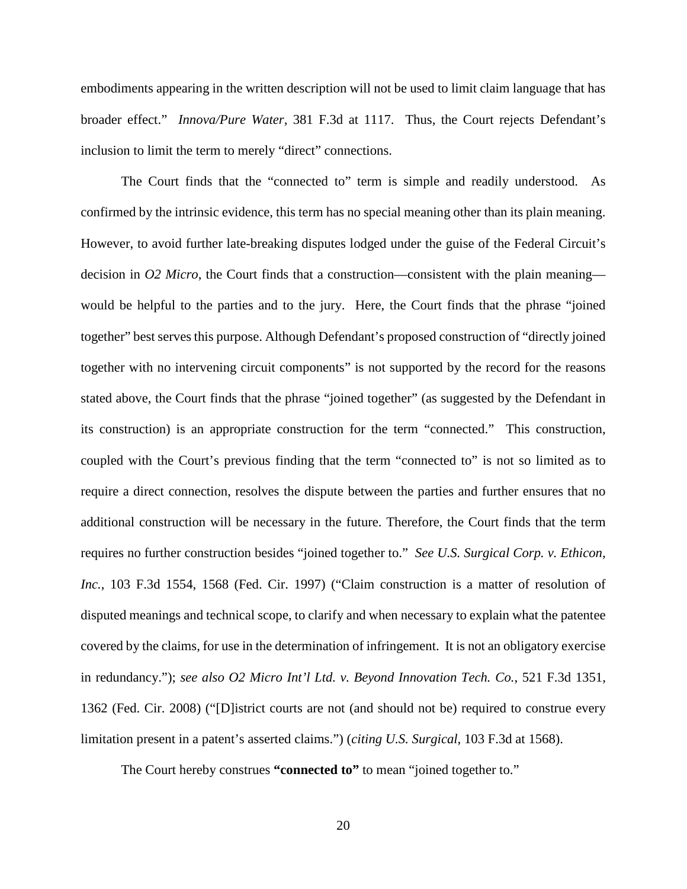embodiments appearing in the written description will not be used to limit claim language that has broader effect." *Innova/Pure Water,* 381 F.3d at 1117. Thus, the Court rejects Defendant's inclusion to limit the term to merely "direct" connections.

The Court finds that the "connected to" term is simple and readily understood. As confirmed by the intrinsic evidence, this term has no special meaning other than its plain meaning. However, to avoid further late-breaking disputes lodged under the guise of the Federal Circuit's decision in *O2 Micro*, the Court finds that a construction—consistent with the plain meaning would be helpful to the parties and to the jury. Here, the Court finds that the phrase "joined together" best serves this purpose. Although Defendant's proposed construction of "directly joined together with no intervening circuit components" is not supported by the record for the reasons stated above, the Court finds that the phrase "joined together" (as suggested by the Defendant in its construction) is an appropriate construction for the term "connected." This construction, coupled with the Court's previous finding that the term "connected to" is not so limited as to require a direct connection, resolves the dispute between the parties and further ensures that no additional construction will be necessary in the future. Therefore, the Court finds that the term requires no further construction besides "joined together to." *See U.S. Surgical Corp. v. Ethicon, Inc.*, 103 F.3d 1554, 1568 (Fed. Cir. 1997) ("Claim construction is a matter of resolution of disputed meanings and technical scope, to clarify and when necessary to explain what the patentee covered by the claims, for use in the determination of infringement. It is not an obligatory exercise in redundancy."); *see also O2 Micro Int'l Ltd. v. Beyond Innovation Tech. Co.*, 521 F.3d 1351, 1362 (Fed. Cir. 2008) ("[D]istrict courts are not (and should not be) required to construe every limitation present in a patent's asserted claims.") (*citing U.S. Surgical*, 103 F.3d at 1568).

The Court hereby construes **"connected to"** to mean "joined together to."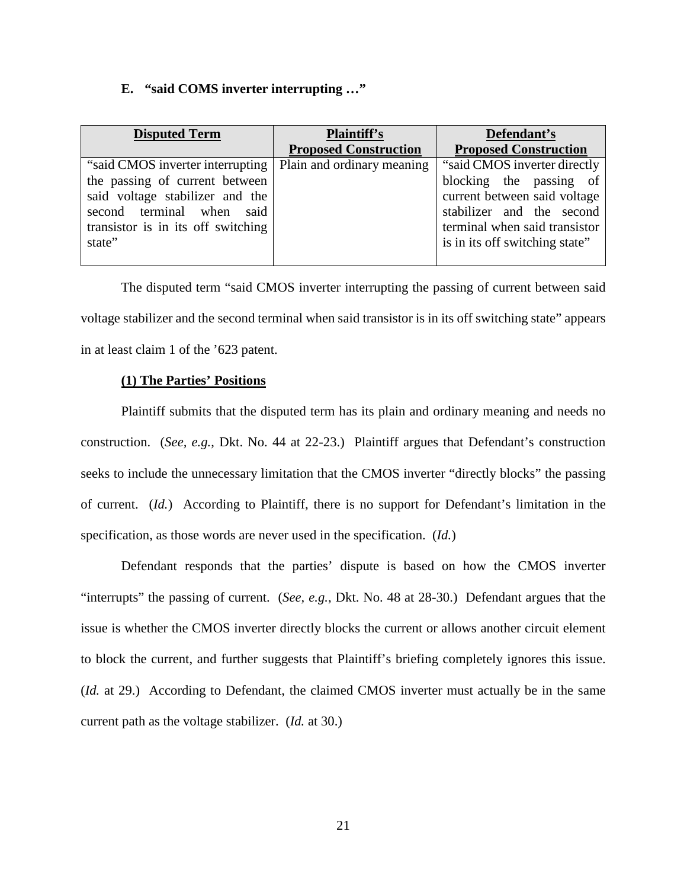#### **E. "said COMS inverter interrupting …"**

| <b>Disputed Term</b>               | <b>Plaintiff's</b>           | Defendant's                    |
|------------------------------------|------------------------------|--------------------------------|
|                                    | <b>Proposed Construction</b> | <b>Proposed Construction</b>   |
| "said CMOS inverter interrupting"  | Plain and ordinary meaning   | "said CMOS inverter directly   |
| the passing of current between     |                              | blocking the passing of        |
| said voltage stabilizer and the    |                              | current between said voltage   |
| second terminal when said          |                              | stabilizer and the second      |
| transistor is in its off switching |                              | terminal when said transistor  |
| state"                             |                              | is in its off switching state" |
|                                    |                              |                                |

The disputed term "said CMOS inverter interrupting the passing of current between said voltage stabilizer and the second terminal when said transistor is in its off switching state" appears in at least claim 1 of the '623 patent.

# **(1) The Parties' Positions**

Plaintiff submits that the disputed term has its plain and ordinary meaning and needs no construction. (*See, e.g.*, Dkt. No. 44 at 22-23.) Plaintiff argues that Defendant's construction seeks to include the unnecessary limitation that the CMOS inverter "directly blocks" the passing of current. (*Id.*) According to Plaintiff, there is no support for Defendant's limitation in the specification, as those words are never used in the specification. (*Id.*)

Defendant responds that the parties' dispute is based on how the CMOS inverter "interrupts" the passing of current. (*See, e.g.*, Dkt. No. 48 at 28-30.) Defendant argues that the issue is whether the CMOS inverter directly blocks the current or allows another circuit element to block the current, and further suggests that Plaintiff's briefing completely ignores this issue. (*Id.* at 29.) According to Defendant, the claimed CMOS inverter must actually be in the same current path as the voltage stabilizer. (*Id.* at 30.)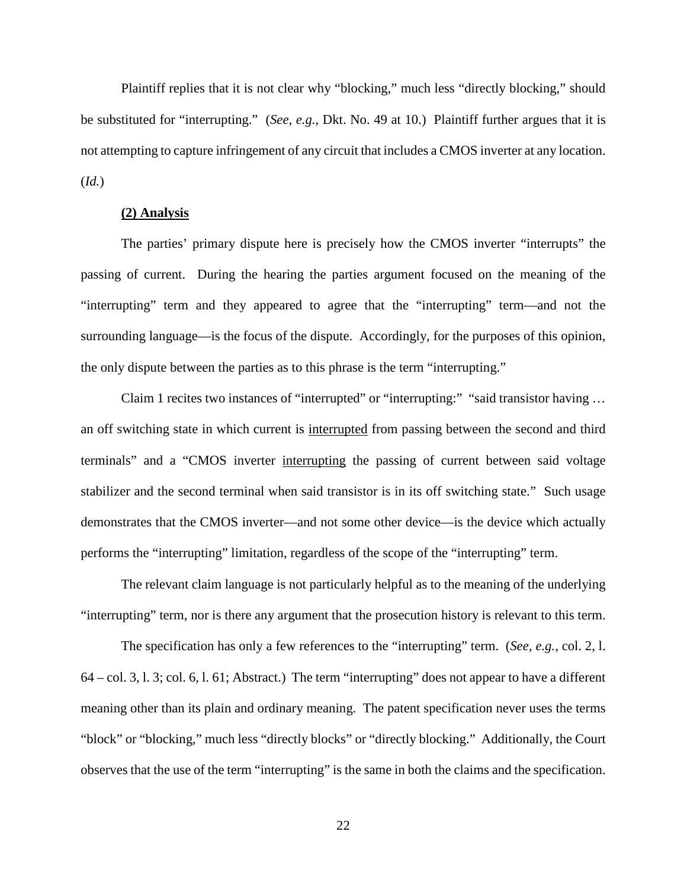Plaintiff replies that it is not clear why "blocking," much less "directly blocking," should be substituted for "interrupting." (*See, e.g.*, Dkt. No. 49 at 10.) Plaintiff further argues that it is not attempting to capture infringement of any circuit that includes a CMOS inverter at any location. (*Id.*)

#### **(2) Analysis**

The parties' primary dispute here is precisely how the CMOS inverter "interrupts" the passing of current. During the hearing the parties argument focused on the meaning of the "interrupting" term and they appeared to agree that the "interrupting" term—and not the surrounding language—is the focus of the dispute. Accordingly, for the purposes of this opinion, the only dispute between the parties as to this phrase is the term "interrupting."

Claim 1 recites two instances of "interrupted" or "interrupting:" "said transistor having … an off switching state in which current is interrupted from passing between the second and third terminals" and a "CMOS inverter interrupting the passing of current between said voltage stabilizer and the second terminal when said transistor is in its off switching state." Such usage demonstrates that the CMOS inverter—and not some other device—is the device which actually performs the "interrupting" limitation, regardless of the scope of the "interrupting" term.

The relevant claim language is not particularly helpful as to the meaning of the underlying "interrupting" term, nor is there any argument that the prosecution history is relevant to this term.

The specification has only a few references to the "interrupting" term. (*See, e.g.*, col. 2, l. 64 – col. 3, l. 3; col. 6, l. 61; Abstract.) The term "interrupting" does not appear to have a different meaning other than its plain and ordinary meaning. The patent specification never uses the terms "block" or "blocking," much less "directly blocks" or "directly blocking." Additionally, the Court observes that the use of the term "interrupting" is the same in both the claims and the specification.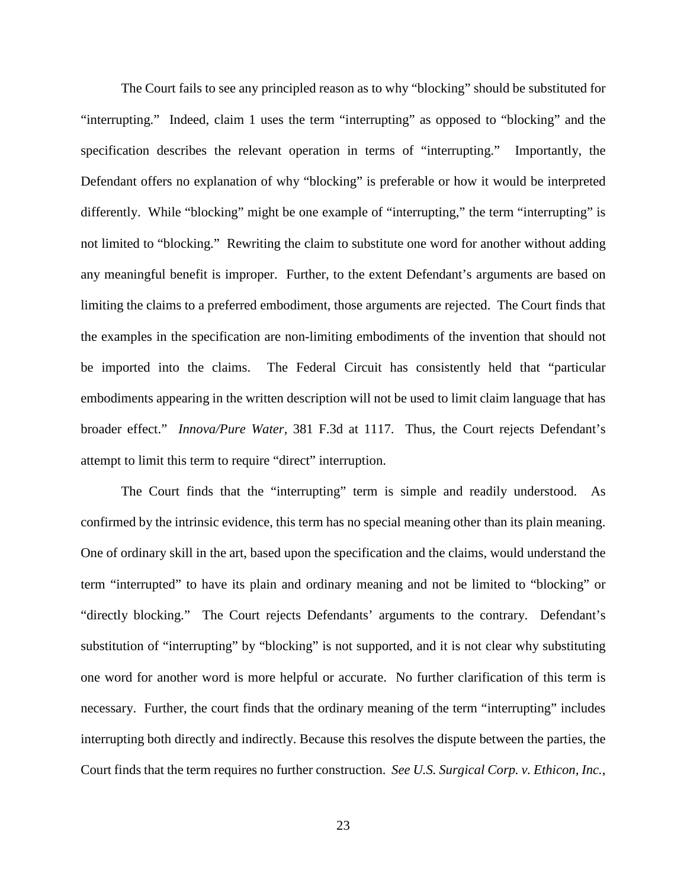The Court fails to see any principled reason as to why "blocking" should be substituted for "interrupting." Indeed, claim 1 uses the term "interrupting" as opposed to "blocking" and the specification describes the relevant operation in terms of "interrupting." Importantly, the Defendant offers no explanation of why "blocking" is preferable or how it would be interpreted differently. While "blocking" might be one example of "interrupting," the term "interrupting" is not limited to "blocking." Rewriting the claim to substitute one word for another without adding any meaningful benefit is improper. Further, to the extent Defendant's arguments are based on limiting the claims to a preferred embodiment, those arguments are rejected. The Court finds that the examples in the specification are non-limiting embodiments of the invention that should not be imported into the claims. The Federal Circuit has consistently held that "particular embodiments appearing in the written description will not be used to limit claim language that has broader effect." *Innova/Pure Water,* 381 F.3d at 1117. Thus, the Court rejects Defendant's attempt to limit this term to require "direct" interruption.

The Court finds that the "interrupting" term is simple and readily understood. As confirmed by the intrinsic evidence, this term has no special meaning other than its plain meaning. One of ordinary skill in the art, based upon the specification and the claims, would understand the term "interrupted" to have its plain and ordinary meaning and not be limited to "blocking" or "directly blocking." The Court rejects Defendants' arguments to the contrary. Defendant's substitution of "interrupting" by "blocking" is not supported, and it is not clear why substituting one word for another word is more helpful or accurate. No further clarification of this term is necessary. Further, the court finds that the ordinary meaning of the term "interrupting" includes interrupting both directly and indirectly. Because this resolves the dispute between the parties, the Court finds that the term requires no further construction. *See U.S. Surgical Corp. v. Ethicon, Inc.*,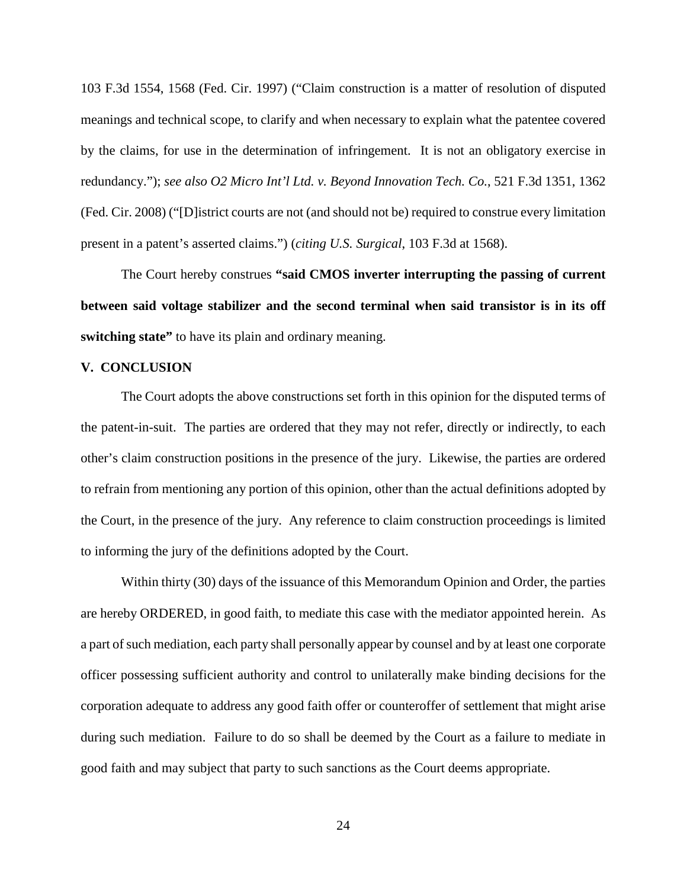103 F.3d 1554, 1568 (Fed. Cir. 1997) ("Claim construction is a matter of resolution of disputed meanings and technical scope, to clarify and when necessary to explain what the patentee covered by the claims, for use in the determination of infringement. It is not an obligatory exercise in redundancy."); *see also O2 Micro Int'l Ltd. v. Beyond Innovation Tech. Co.*, 521 F.3d 1351, 1362 (Fed. Cir. 2008) ("[D]istrict courts are not (and should not be) required to construe every limitation present in a patent's asserted claims.") (*citing U.S. Surgical*, 103 F.3d at 1568).

The Court hereby construes **"said CMOS inverter interrupting the passing of current between said voltage stabilizer and the second terminal when said transistor is in its off switching state**" to have its plain and ordinary meaning.

#### **V. CONCLUSION**

The Court adopts the above constructions set forth in this opinion for the disputed terms of the patent-in-suit. The parties are ordered that they may not refer, directly or indirectly, to each other's claim construction positions in the presence of the jury. Likewise, the parties are ordered to refrain from mentioning any portion of this opinion, other than the actual definitions adopted by the Court, in the presence of the jury. Any reference to claim construction proceedings is limited to informing the jury of the definitions adopted by the Court.

Within thirty (30) days of the issuance of this Memorandum Opinion and Order, the parties are hereby ORDERED, in good faith, to mediate this case with the mediator appointed herein. As a part of such mediation, each party shall personally appear by counsel and by at least one corporate officer possessing sufficient authority and control to unilaterally make binding decisions for the corporation adequate to address any good faith offer or counteroffer of settlement that might arise during such mediation. Failure to do so shall be deemed by the Court as a failure to mediate in good faith and may subject that party to such sanctions as the Court deems appropriate.